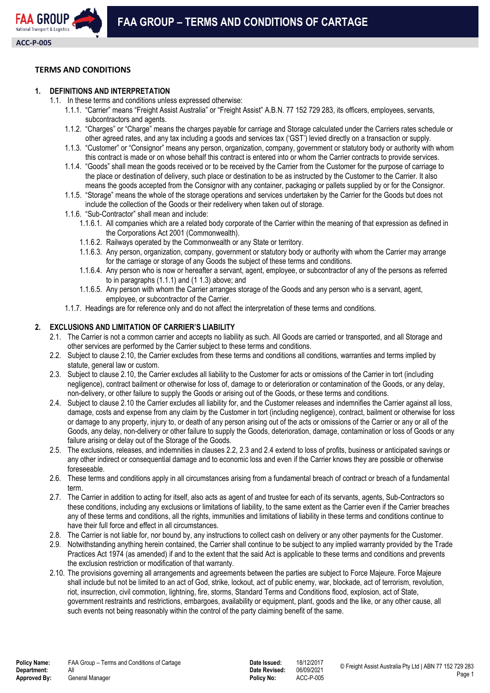

## **TERMS AND CONDITIONS**

### **1. DEFINITIONS AND INTERPRETATION**

- 1.1. In these terms and conditions unless expressed otherwise:
	- 1.1.1. "Carrier" means "Freight Assist Australia" or "Freight Assist" A.B.N. 77 152 729 283, its officers, employees, servants, subcontractors and agents.
	- 1.1.2. "Charges" or "Charge" means the charges payable for carriage and Storage calculated under the Carriers rates schedule or other agreed rates, and any tax including a goods and services tax ('GST') levied directly on a transaction or supply.
	- 1.1.3. "Customer" or "Consignor" means any person, organization, company, government or statutory body or authority with whom this contract is made or on whose behalf this contract is entered into or whom the Carrier contracts to provide services.
	- 1.1.4. "Goods" shall mean the goods received or to be received by the Carrier from the Customer for the purpose of carriage to the place or destination of delivery, such place or destination to be as instructed by the Customer to the Carrier. It also means the goods accepted from the Consignor with any container, packaging or pallets supplied by or for the Consignor.
	- 1.1.5. "Storage" means the whole of the storage operations and services undertaken by the Carrier for the Goods but does not include the collection of the Goods or their redelivery when taken out of storage.
	- 1.1.6. "Sub-Contractor" shall mean and include:
		- 1.1.6.1. All companies which are a related body corporate of the Carrier within the meaning of that expression as defined in the Corporations Act 2001 (Commonwealth).
		- 1.1.6.2. Railways operated by the Commonwealth or any State or territory.
		- 1.1.6.3. Any person, organization, company, government or statutory body or authority with whom the Carrier may arrange for the carriage or storage of any Goods the subject of these terms and conditions.
		- 1.1.6.4. Any person who is now or hereafter a servant, agent, employee, or subcontractor of any of the persons as referred to in paragraphs (1.1.1) and (1 1.3) above; and
		- 1.1.6.5. Any person with whom the Carrier arranges storage of the Goods and any person who is a servant, agent, employee, or subcontractor of the Carrier.
	- 1.1.7. Headings are for reference only and do not affect the interpretation of these terms and conditions.

### **2. EXCLUSIONS AND LIMITATION OF CARRIER'S LIABILITY**

- 2.1. The Carrier is not a common carrier and accepts no liability as such. All Goods are carried or transported, and all Storage and other services are performed by the Carrier subject to these terms and conditions.
- 2.2. Subject to clause 2.10, the Carrier excludes from these terms and conditions all conditions, warranties and terms implied by statute, general law or custom.
- 2.3. Subject to clause 2.10, the Carrier excludes all liability to the Customer for acts or omissions of the Carrier in tort (including negligence), contract bailment or otherwise for loss of, damage to or deterioration or contamination of the Goods, or any delay, non-delivery, or other failure to supply the Goods or arising out of the Goods, or these terms and conditions.
- 2.4. Subject to clause 2.10 the Carrier excludes all liability for, and the Customer releases and indemnifies the Carrier against all loss, damage, costs and expense from any claim by the Customer in tort (including negligence), contract, bailment or otherwise for loss or damage to any property, injury to, or death of any person arising out of the acts or omissions of the Carrier or any or all of the Goods, any delay, non-delivery or other failure to supply the Goods, deterioration, damage, contamination or loss of Goods or any failure arising or delay out of the Storage of the Goods.
- 2.5. The exclusions, releases, and indemnities in clauses 2.2, 2.3 and 2.4 extend to loss of profits, business or anticipated savings or any other indirect or consequential damage and to economic loss and even if the Carrier knows they are possible or otherwise foreseeable.
- 2.6. These terms and conditions apply in all circumstances arising from a fundamental breach of contract or breach of a fundamental term.
- 2.7. The Carrier in addition to acting for itself, also acts as agent of and trustee for each of its servants, agents, Sub-Contractors so these conditions, including any exclusions or limitations of liability, to the same extent as the Carrier even if the Carrier breaches any of these terms and conditions, all the rights, immunities and limitations of liability in these terms and conditions continue to have their full force and effect in all circumstances.
- 2.8. The Carrier is not liable for, nor bound by, any instructions to collect cash on delivery or any other payments for the Customer.
- 2.9. Notwithstanding anything herein contained, the Carrier shall continue to be subject to any implied warranty provided by the Trade Practices Act 1974 (as amended) if and to the extent that the said Act is applicable to these terms and conditions and prevents the exclusion restriction or modification of that warranty.
- 2.10. The provisions governing all arrangements and agreements between the parties are subject to Force Majeure. Force Majeure shall include but not be limited to an act of God, strike, lockout, act of public enemy, war, blockade, act of terrorism, revolution, riot, insurrection, civil commotion, lightning, fire, storms, Standard Terms and Conditions flood, explosion, act of State, government restraints and restrictions, embargoes, availability or equipment, plant, goods and the like, or any other cause, all such events not being reasonably within the control of the party claiming benefit of the same.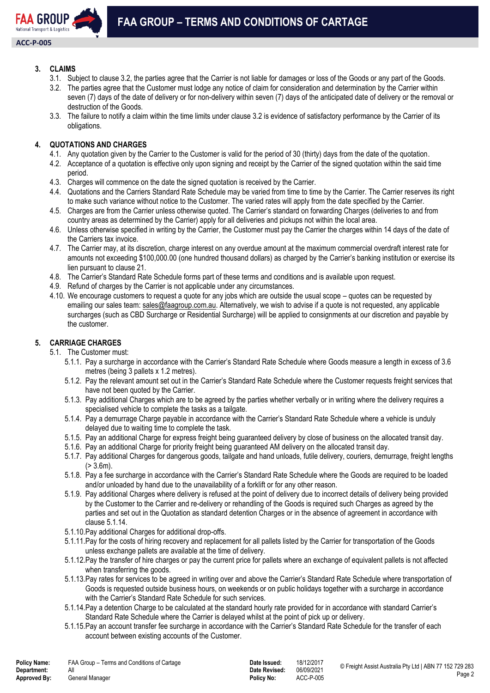

## **3. CLAIMS**

- 3.1. Subject to clause 3.2, the parties agree that the Carrier is not liable for damages or loss of the Goods or any part of the Goods.
- 3.2. The parties agree that the Customer must lodge any notice of claim for consideration and determination by the Carrier within seven (7) days of the date of delivery or for non-delivery within seven (7) days of the anticipated date of delivery or the removal or destruction of the Goods.
- 3.3. The failure to notify a claim within the time limits under clause 3.2 is evidence of satisfactory performance by the Carrier of its obligations.

## **4. QUOTATIONS AND CHARGES**

- 4.1. Any quotation given by the Carrier to the Customer is valid for the period of 30 (thirty) days from the date of the quotation.
- 4.2. Acceptance of a quotation is effective only upon signing and receipt by the Carrier of the signed quotation within the said time period.
- 4.3. Charges will commence on the date the signed quotation is received by the Carrier.
- 4.4. Quotations and the Carriers Standard Rate Schedule may be varied from time to time by the Carrier. The Carrier reserves its right to make such variance without notice to the Customer. The varied rates will apply from the date specified by the Carrier.
- 4.5. Charges are from the Carrier unless otherwise quoted. The Carrier's standard on forwarding Charges (deliveries to and from country areas as determined by the Carrier) apply for all deliveries and pickups not within the local area.
- 4.6. Unless otherwise specified in writing by the Carrier, the Customer must pay the Carrier the charges within 14 days of the date of the Carriers tax invoice.
- 4.7. The Carrier may, at its discretion, charge interest on any overdue amount at the maximum commercial overdraft interest rate for amounts not exceeding \$100,000.00 (one hundred thousand dollars) as charged by the Carrier's banking institution or exercise its lien pursuant to clause 21.
- 4.8. The Carrier's Standard Rate Schedule forms part of these terms and conditions and is available upon request.
- 4.9. Refund of charges by the Carrier is not applicable under any circumstances.
- 4.10. We encourage customers to request a quote for any jobs which are outside the usual scope quotes can be requested by emailing our sales team: [sales@faagroup.com.au.](mailto:sales@faagroup.com.au) Alternatively, we wish to advise if a quote is not requested, any applicable surcharges (such as CBD Surcharge or Residential Surcharge) will be applied to consignments at our discretion and payable by the customer.

## **5. CARRIAGE CHARGES**

- 5.1. The Customer must:
	- 5.1.1. Pay a surcharge in accordance with the Carrier's Standard Rate Schedule where Goods measure a length in excess of 3.6 metres (being 3 pallets x 1.2 metres).
	- 5.1.2. Pay the relevant amount set out in the Carrier's Standard Rate Schedule where the Customer requests freight services that have not been quoted by the Carrier.
	- 5.1.3. Pay additional Charges which are to be agreed by the parties whether verbally or in writing where the delivery requires a specialised vehicle to complete the tasks as a tailgate.
	- 5.1.4. Pay a demurrage Charge payable in accordance with the Carrier's Standard Rate Schedule where a vehicle is unduly delayed due to waiting time to complete the task.
	- 5.1.5. Pay an additional Charge for express freight being guaranteed delivery by close of business on the allocated transit day.
	- 5.1.6. Pay an additional Charge for priority freight being guaranteed AM delivery on the allocated transit day.
	- 5.1.7. Pay additional Charges for dangerous goods, tailgate and hand unloads, futile delivery, couriers, demurrage, freight lengths  $(> 3.6m)$ .
	- 5.1.8. Pay a fee surcharge in accordance with the Carrier's Standard Rate Schedule where the Goods are required to be loaded and/or unloaded by hand due to the unavailability of a forklift or for any other reason.
	- 5.1.9. Pay additional Charges where delivery is refused at the point of delivery due to incorrect details of delivery being provided by the Customer to the Carrier and re-delivery or rehandling of the Goods is required such Charges as agreed by the parties and set out in the Quotation as standard detention Charges or in the absence of agreement in accordance with clause 5.1.14.
	- 5.1.10.Pay additional Charges for additional drop-offs.
	- 5.1.11.Pay for the costs of hiring recovery and replacement for all pallets listed by the Carrier for transportation of the Goods unless exchange pallets are available at the time of delivery.
	- 5.1.12.Pay the transfer of hire charges or pay the current price for pallets where an exchange of equivalent pallets is not affected when transferring the goods.
	- 5.1.13.Pay rates for services to be agreed in writing over and above the Carrier's Standard Rate Schedule where transportation of Goods is requested outside business hours, on weekends or on public holidays together with a surcharge in accordance with the Carrier's Standard Rate Schedule for such services.
	- 5.1.14.Pay a detention Charge to be calculated at the standard hourly rate provided for in accordance with standard Carrier's Standard Rate Schedule where the Carrier is delayed whilst at the point of pick up or delivery.
	- 5.1.15.Pay an account transfer fee surcharge in accordance with the Carrier's Standard Rate Schedule for the transfer of each account between existing accounts of the Customer.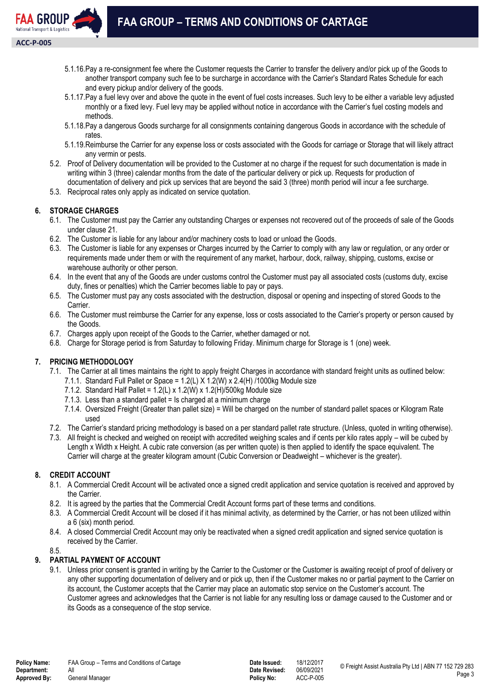

- 5.1.16.Pay a re-consignment fee where the Customer requests the Carrier to transfer the delivery and/or pick up of the Goods to another transport company such fee to be surcharge in accordance with the Carrier's Standard Rates Schedule for each and every pickup and/or delivery of the goods.
- 5.1.17.Pay a fuel levy over and above the quote in the event of fuel costs increases. Such levy to be either a variable levy adjusted monthly or a fixed levy. Fuel levy may be applied without notice in accordance with the Carrier's fuel costing models and methods.
- 5.1.18.Pay a dangerous Goods surcharge for all consignments containing dangerous Goods in accordance with the schedule of rates.
- 5.1.19.Reimburse the Carrier for any expense loss or costs associated with the Goods for carriage or Storage that will likely attract any vermin or pests.
- 5.2. Proof of Delivery documentation will be provided to the Customer at no charge if the request for such documentation is made in writing within 3 (three) calendar months from the date of the particular delivery or pick up. Requests for production of documentation of delivery and pick up services that are beyond the said 3 (three) month period will incur a fee surcharge.
- 5.3. Reciprocal rates only apply as indicated on service quotation.

## **6. STORAGE CHARGES**

- 6.1. The Customer must pay the Carrier any outstanding Charges or expenses not recovered out of the proceeds of sale of the Goods under clause 21.
- 6.2. The Customer is liable for any labour and/or machinery costs to load or unload the Goods.
- 6.3. The Customer is liable for any expenses or Charges incurred by the Carrier to comply with any law or regulation, or any order or requirements made under them or with the requirement of any market, harbour, dock, railway, shipping, customs, excise or warehouse authority or other person.
- 6.4. In the event that any of the Goods are under customs control the Customer must pay all associated costs (customs duty, excise duty, fines or penalties) which the Carrier becomes liable to pay or pays.
- 6.5. The Customer must pay any costs associated with the destruction, disposal or opening and inspecting of stored Goods to the Carrier.
- 6.6. The Customer must reimburse the Carrier for any expense, loss or costs associated to the Carrier's property or person caused by the Goods.
- 6.7. Charges apply upon receipt of the Goods to the Carrier, whether damaged or not.
- 6.8. Charge for Storage period is from Saturday to following Friday. Minimum charge for Storage is 1 (one) week.

## **7. PRICING METHODOLOGY**

- 7.1. The Carrier at all times maintains the right to apply freight Charges in accordance with standard freight units as outlined below:
	- 7.1.1. Standard Full Pallet or Space = 1.2(L) X 1.2(W) x 2.4(H) /1000kg Module size
	- 7.1.2. Standard Half Pallet =  $1.2(L)$  x 1.2(W) x 1.2(H)/500kg Module size
	- 7.1.3. Less than a standard pallet = Is charged at a minimum charge
	- 7.1.4. Oversized Freight (Greater than pallet size) = Will be charged on the number of standard pallet spaces or Kilogram Rate used
- 7.2. The Carrier's standard pricing methodology is based on a per standard pallet rate structure. (Unless, quoted in writing otherwise).
- 7.3. All freight is checked and weighed on receipt with accredited weighing scales and if cents per kilo rates apply will be cubed by Length x Width x Height. A cubic rate conversion (as per written quote) is then applied to identify the space equivalent. The Carrier will charge at the greater kilogram amount (Cubic Conversion or Deadweight – whichever is the greater).

## **8. CREDIT ACCOUNT**

- 8.1. A Commercial Credit Account will be activated once a signed credit application and service quotation is received and approved by the Carrier.
- 8.2. It is agreed by the parties that the Commercial Credit Account forms part of these terms and conditions.
- 8.3. A Commercial Credit Account will be closed if it has minimal activity, as determined by the Carrier, or has not been utilized within a 6 (six) month period.
- 8.4. A closed Commercial Credit Account may only be reactivated when a signed credit application and signed service quotation is received by the Carrier.

8.5.

# **9. PARTIAL PAYMENT OF ACCOUNT**

9.1. Unless prior consent is granted in writing by the Carrier to the Customer or the Customer is awaiting receipt of proof of delivery or any other supporting documentation of delivery and or pick up, then if the Customer makes no or partial payment to the Carrier on its account, the Customer accepts that the Carrier may place an automatic stop service on the Customer's account. The Customer agrees and acknowledges that the Carrier is not liable for any resulting loss or damage caused to the Customer and or its Goods as a consequence of the stop service.

**Date Revised:**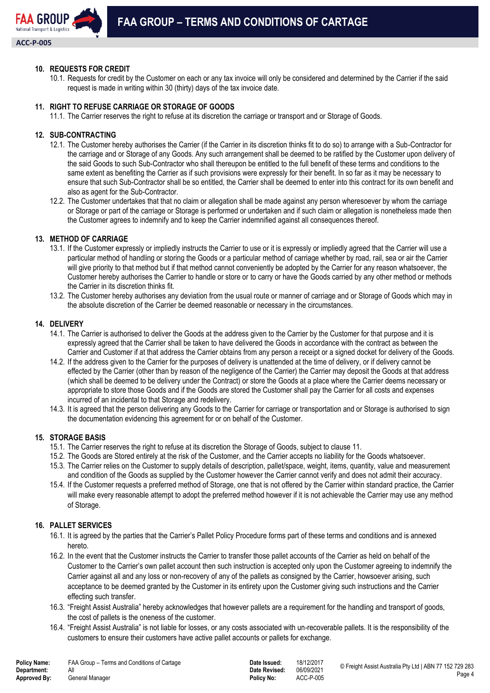

### **10. REQUESTS FOR CREDIT**

10.1. Requests for credit by the Customer on each or any tax invoice will only be considered and determined by the Carrier if the said request is made in writing within 30 (thirty) days of the tax invoice date.

## **11. RIGHT TO REFUSE CARRIAGE OR STORAGE OF GOODS**

11.1. The Carrier reserves the right to refuse at its discretion the carriage or transport and or Storage of Goods.

#### **12. SUB-CONTRACTING**

- 12.1. The Customer hereby authorises the Carrier (if the Carrier in its discretion thinks fit to do so) to arrange with a Sub-Contractor for the carriage and or Storage of any Goods. Any such arrangement shall be deemed to be ratified by the Customer upon delivery of the said Goods to such Sub-Contractor who shall thereupon be entitled to the full benefit of these terms and conditions to the same extent as benefiting the Carrier as if such provisions were expressly for their benefit. In so far as it may be necessary to ensure that such Sub-Contractor shall be so entitled, the Carrier shall be deemed to enter into this contract for its own benefit and also as agent for the Sub-Contractor.
- 12.2. The Customer undertakes that that no claim or allegation shall be made against any person wheresoever by whom the carriage or Storage or part of the carriage or Storage is performed or undertaken and if such claim or allegation is nonetheless made then the Customer agrees to indemnify and to keep the Carrier indemnified against all consequences thereof.

### **13. METHOD OF CARRIAGE**

- 13.1. If the Customer expressly or impliedly instructs the Carrier to use or it is expressly or impliedly agreed that the Carrier will use a particular method of handling or storing the Goods or a particular method of carriage whether by road, rail, sea or air the Carrier will give priority to that method but if that method cannot conveniently be adopted by the Carrier for any reason whatsoever, the Customer hereby authorises the Carrier to handle or store or to carry or have the Goods carried by any other method or methods the Carrier in its discretion thinks fit.
- 13.2. The Customer hereby authorises any deviation from the usual route or manner of carriage and or Storage of Goods which may in the absolute discretion of the Carrier be deemed reasonable or necessary in the circumstances.

#### **14. DELIVERY**

- 14.1. The Carrier is authorised to deliver the Goods at the address given to the Carrier by the Customer for that purpose and it is expressly agreed that the Carrier shall be taken to have delivered the Goods in accordance with the contract as between the Carrier and Customer if at that address the Carrier obtains from any person a receipt or a signed docket for delivery of the Goods.
- 14.2. If the address given to the Carrier for the purposes of delivery is unattended at the time of delivery, or if delivery cannot be effected by the Carrier (other than by reason of the negligence of the Carrier) the Carrier may deposit the Goods at that address (which shall be deemed to be delivery under the Contract) or store the Goods at a place where the Carrier deems necessary or appropriate to store those Goods and if the Goods are stored the Customer shall pay the Carrier for all costs and expenses incurred of an incidental to that Storage and redelivery.
- 14.3. It is agreed that the person delivering any Goods to the Carrier for carriage or transportation and or Storage is authorised to sign the documentation evidencing this agreement for or on behalf of the Customer.

#### **15. STORAGE BASIS**

- 15.1. The Carrier reserves the right to refuse at its discretion the Storage of Goods, subject to clause 11.
- 15.2. The Goods are Stored entirely at the risk of the Customer, and the Carrier accepts no liability for the Goods whatsoever.
- 15.3. The Carrier relies on the Customer to supply details of description, pallet/space, weight, items, quantity, value and measurement and condition of the Goods as supplied by the Customer however the Carrier cannot verify and does not admit their accuracy.
- 15.4. If the Customer requests a preferred method of Storage, one that is not offered by the Carrier within standard practice, the Carrier will make every reasonable attempt to adopt the preferred method however if it is not achievable the Carrier may use any method of Storage.

#### **16. PALLET SERVICES**

- 16.1. It is agreed by the parties that the Carrier's Pallet Policy Procedure forms part of these terms and conditions and is annexed hereto.
- 16.2. In the event that the Customer instructs the Carrier to transfer those pallet accounts of the Carrier as held on behalf of the Customer to the Carrier's own pallet account then such instruction is accepted only upon the Customer agreeing to indemnify the Carrier against all and any loss or non-recovery of any of the pallets as consigned by the Carrier, howsoever arising, such acceptance to be deemed granted by the Customer in its entirety upon the Customer giving such instructions and the Carrier effecting such transfer.
- 16.3. "Freight Assist Australia" hereby acknowledges that however pallets are a requirement for the handling and transport of goods, the cost of pallets is the oneness of the customer.
- 16.4. "Freight Assist Australia" is not liable for losses, or any costs associated with un-recoverable pallets. It is the responsibility of the customers to ensure their customers have active pallet accounts or pallets for exchange.

| olicy Name:  | FAA Group - T |
|--------------|---------------|
| )epartment:  | Αll           |
| Approved By: | General Manag |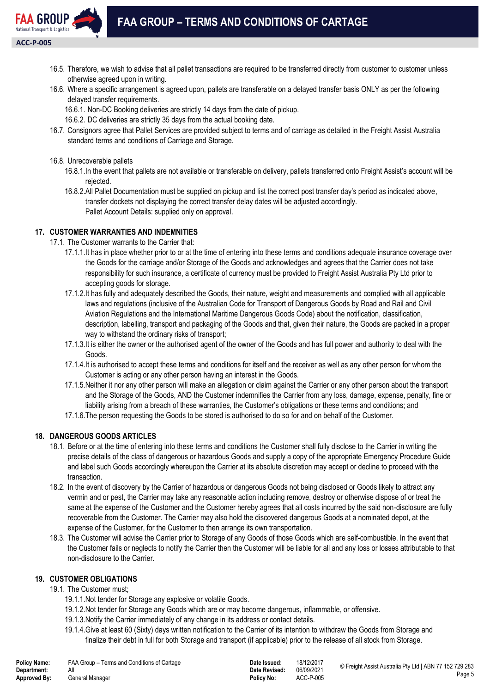

- 16.5. Therefore, we wish to advise that all pallet transactions are required to be transferred directly from customer to customer unless otherwise agreed upon in writing.
- 16.6. Where a specific arrangement is agreed upon, pallets are transferable on a delayed transfer basis ONLY as per the following delayed transfer requirements.
	- 16.6.1. Non-DC Booking deliveries are strictly 14 days from the date of pickup.
	- 16.6.2. DC deliveries are strictly 35 days from the actual booking date.
- 16.7. Consignors agree that Pallet Services are provided subject to terms and of carriage as detailed in the Freight Assist Australia standard terms and conditions of Carriage and Storage.
- 16.8. Unrecoverable pallets
	- 16.8.1.In the event that pallets are not available or transferable on delivery, pallets transferred onto Freight Assist's account will be rejected.
	- 16.8.2.All Pallet Documentation must be supplied on pickup and list the correct post transfer day's period as indicated above, transfer dockets not displaying the correct transfer delay dates will be adjusted accordingly. Pallet Account Details: supplied only on approval.

# **17. CUSTOMER WARRANTIES AND INDEMNITIES**

17.1. The Customer warrants to the Carrier that:

- 17.1.1.It has in place whether prior to or at the time of entering into these terms and conditions adequate insurance coverage over the Goods for the carriage and/or Storage of the Goods and acknowledges and agrees that the Carrier does not take responsibility for such insurance, a certificate of currency must be provided to Freight Assist Australia Pty Ltd prior to accepting goods for storage.
- 17.1.2.It has fully and adequately described the Goods, their nature, weight and measurements and complied with all applicable laws and regulations (inclusive of the Australian Code for Transport of Dangerous Goods by Road and Rail and Civil Aviation Regulations and the International Maritime Dangerous Goods Code) about the notification, classification, description, labelling, transport and packaging of the Goods and that, given their nature, the Goods are packed in a proper way to withstand the ordinary risks of transport;
- 17.1.3.It is either the owner or the authorised agent of the owner of the Goods and has full power and authority to deal with the Goods.
- 17.1.4.It is authorised to accept these terms and conditions for itself and the receiver as well as any other person for whom the Customer is acting or any other person having an interest in the Goods.
- 17.1.5.Neither it nor any other person will make an allegation or claim against the Carrier or any other person about the transport and the Storage of the Goods, AND the Customer indemnifies the Carrier from any loss, damage, expense, penalty, fine or liability arising from a breach of these warranties, the Customer's obligations or these terms and conditions; and
- 17.1.6.The person requesting the Goods to be stored is authorised to do so for and on behalf of the Customer.

## **18. DANGEROUS GOODS ARTICLES**

- 18.1. Before or at the time of entering into these terms and conditions the Customer shall fully disclose to the Carrier in writing the precise details of the class of dangerous or hazardous Goods and supply a copy of the appropriate Emergency Procedure Guide and label such Goods accordingly whereupon the Carrier at its absolute discretion may accept or decline to proceed with the transaction.
- 18.2. In the event of discovery by the Carrier of hazardous or dangerous Goods not being disclosed or Goods likely to attract any vermin and or pest, the Carrier may take any reasonable action including remove, destroy or otherwise dispose of or treat the same at the expense of the Customer and the Customer hereby agrees that all costs incurred by the said non-disclosure are fully recoverable from the Customer. The Carrier may also hold the discovered dangerous Goods at a nominated depot, at the expense of the Customer, for the Customer to then arrange its own transportation.
- 18.3. The Customer will advise the Carrier prior to Storage of any Goods of those Goods which are self-combustible. In the event that the Customer fails or neglects to notify the Carrier then the Customer will be liable for all and any loss or losses attributable to that non-disclosure to the Carrier.

# **19. CUSTOMER OBLIGATIONS**

## 19.1. The Customer must;

- 19.1.1.Not tender for Storage any explosive or volatile Goods.
- 19.1.2.Not tender for Storage any Goods which are or may become dangerous, inflammable, or offensive.
- 19.1.3.Notify the Carrier immediately of any change in its address or contact details.
- 19.1.4.Give at least 60 (Sixty) days written notification to the Carrier of its intention to withdraw the Goods from Storage and finalize their debt in full for both Storage and transport (if applicable) prior to the release of all stock from Storage.

| <b>Policy Name:</b> | FAA Group – Terms and Conditions of Cartage | Date Issued:      | 18/12/2017 |
|---------------------|---------------------------------------------|-------------------|------------|
| Department:         | All                                         | Date Revised:     | 06/09/2021 |
| Approved By:        | General Manager                             | <b>Policy No:</b> | ACC-P-005  |

**Policy Name:** FAA Group – Terms and Conditions of Cartage **Date Issued:** 18/12/2017 © Freight Assist Australia Pty Ltd | ABN 77 152 729 283 Page 5